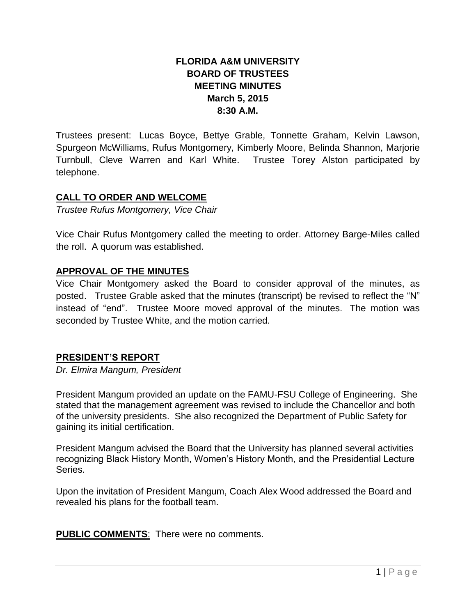# **FLORIDA A&M UNIVERSITY BOARD OF TRUSTEES MEETING MINUTES March 5, 2015 8:30 A.M.**

Trustees present: Lucas Boyce, Bettye Grable, Tonnette Graham, Kelvin Lawson, Spurgeon McWilliams, Rufus Montgomery, Kimberly Moore, Belinda Shannon, Marjorie Turnbull, Cleve Warren and Karl White. Trustee Torey Alston participated by telephone.

## **CALL TO ORDER AND WELCOME**

*Trustee Rufus Montgomery, Vice Chair*

Vice Chair Rufus Montgomery called the meeting to order. Attorney Barge-Miles called the roll. A quorum was established.

## **APPROVAL OF THE MINUTES**

Vice Chair Montgomery asked the Board to consider approval of the minutes, as posted. Trustee Grable asked that the minutes (transcript) be revised to reflect the "N" instead of "end". Trustee Moore moved approval of the minutes. The motion was seconded by Trustee White, and the motion carried.

#### **PRESIDENT'S REPORT**

*Dr. Elmira Mangum, President*

President Mangum provided an update on the FAMU-FSU College of Engineering. She stated that the management agreement was revised to include the Chancellor and both of the university presidents. She also recognized the Department of Public Safety for gaining its initial certification.

President Mangum advised the Board that the University has planned several activities recognizing Black History Month, Women's History Month, and the Presidential Lecture Series.

Upon the invitation of President Mangum, Coach Alex Wood addressed the Board and revealed his plans for the football team.

**PUBLIC COMMENTS**: There were no comments.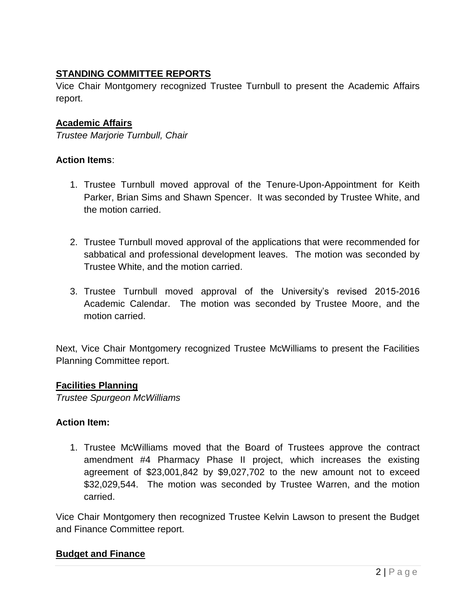# **STANDING COMMITTEE REPORTS**

Vice Chair Montgomery recognized Trustee Turnbull to present the Academic Affairs report.

## **Academic Affairs**

*Trustee Marjorie Turnbull, Chair*

### **Action Items**:

- 1. Trustee Turnbull moved approval of the Tenure-Upon-Appointment for Keith Parker, Brian Sims and Shawn Spencer. It was seconded by Trustee White, and the motion carried.
- 2. Trustee Turnbull moved approval of the applications that were recommended for sabbatical and professional development leaves. The motion was seconded by Trustee White, and the motion carried.
- 3. Trustee Turnbull moved approval of the University's revised 2015-2016 Academic Calendar. The motion was seconded by Trustee Moore, and the motion carried.

Next, Vice Chair Montgomery recognized Trustee McWilliams to present the Facilities Planning Committee report.

#### **Facilities Planning**

*Trustee Spurgeon McWilliams*

## **Action Item:**

1. Trustee McWilliams moved that the Board of Trustees approve the contract amendment #4 Pharmacy Phase II project, which increases the existing agreement of \$23,001,842 by \$9,027,702 to the new amount not to exceed \$32,029,544. The motion was seconded by Trustee Warren, and the motion carried.

Vice Chair Montgomery then recognized Trustee Kelvin Lawson to present the Budget and Finance Committee report.

## **Budget and Finance**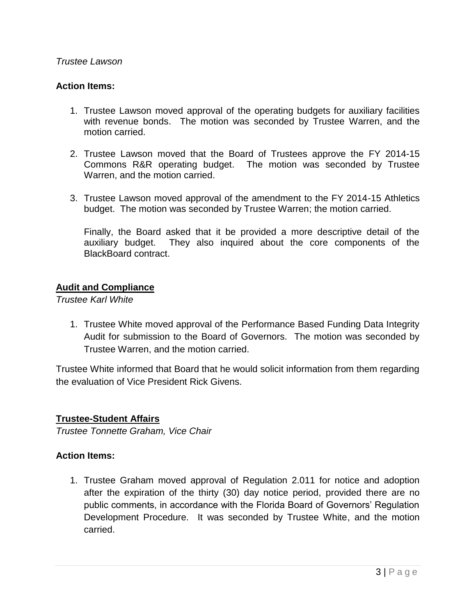#### *Trustee Lawson*

### **Action Items:**

- 1. Trustee Lawson moved approval of the operating budgets for auxiliary facilities with revenue bonds. The motion was seconded by Trustee Warren, and the motion carried.
- 2. Trustee Lawson moved that the Board of Trustees approve the FY 2014-15 Commons R&R operating budget. The motion was seconded by Trustee Warren, and the motion carried.
- 3. Trustee Lawson moved approval of the amendment to the FY 2014-15 Athletics budget. The motion was seconded by Trustee Warren; the motion carried.

Finally, the Board asked that it be provided a more descriptive detail of the auxiliary budget. They also inquired about the core components of the BlackBoard contract.

### **Audit and Compliance**

*Trustee Karl White*

1. Trustee White moved approval of the Performance Based Funding Data Integrity Audit for submission to the Board of Governors. The motion was seconded by Trustee Warren, and the motion carried.

Trustee White informed that Board that he would solicit information from them regarding the evaluation of Vice President Rick Givens.

#### **Trustee-Student Affairs**

*Trustee Tonnette Graham, Vice Chair*

#### **Action Items:**

1. Trustee Graham moved approval of Regulation 2.011 for notice and adoption after the expiration of the thirty (30) day notice period, provided there are no public comments, in accordance with the Florida Board of Governors' Regulation Development Procedure. It was seconded by Trustee White, and the motion carried.